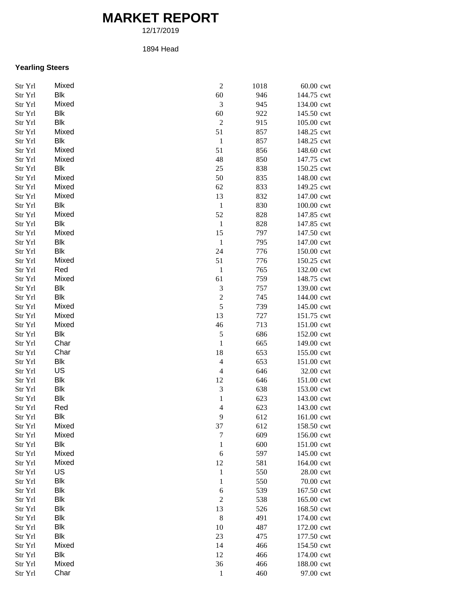## **MARKET REPORT**

12/17/2019

## 1894 Head

## **Yearling Steers**

| Str Yrl | Mixed      | $\overline{c}$           | 1018 | 60.00 cwt  |
|---------|------------|--------------------------|------|------------|
| Str Yrl | Blk        | 60                       | 946  | 144.75 cwt |
| Str Yrl | Mixed      | 3                        | 945  | 134.00 cwt |
| Str Yrl | Blk        | 60                       | 922  | 145.50 cwt |
| Str Yrl | Blk        | $\sqrt{2}$               | 915  | 105.00 cwt |
| Str Yrl | Mixed      | 51                       | 857  | 148.25 cwt |
| Str Yrl | <b>Blk</b> | $\,1\,$                  | 857  | 148.25 cwt |
| Str Yrl | Mixed      | 51                       | 856  | 148.60 cwt |
| Str Yrl | Mixed      | 48                       | 850  | 147.75 cwt |
| Str Yrl | <b>Blk</b> | 25                       | 838  | 150.25 cwt |
| Str Yrl | Mixed      | 50                       | 835  | 148.00 cwt |
| Str Yrl | Mixed      | 62                       | 833  | 149.25 cwt |
| Str Yrl | Mixed      | 13                       | 832  | 147.00 cwt |
| Str Yrl | Blk        | $\mathbf{1}$             | 830  | 100.00 cwt |
| Str Yrl | Mixed      | 52                       | 828  | 147.85 cwt |
| Str Yrl | <b>Blk</b> | $\mathbf 1$              | 828  | 147.85 cwt |
| Str Yrl | Mixed      | 15                       | 797  | 147.50 cwt |
| Str Yrl | <b>Blk</b> | $\mathbf{1}$             | 795  | 147.00 cwt |
| Str Yrl | <b>Blk</b> | 24                       | 776  | 150.00 cwt |
| Str Yrl | Mixed      | 51                       | 776  | 150.25 cwt |
| Str Yrl | Red        | $\mathbf{1}$             | 765  | 132.00 cwt |
| Str Yrl | Mixed      | 61                       | 759  | 148.75 cwt |
| Str Yrl | <b>Blk</b> | 3                        | 757  | 139.00 cwt |
| Str Yrl | <b>Blk</b> | $\overline{\mathbf{c}}$  | 745  | 144.00 cwt |
| Str Yrl | Mixed      | 5                        | 739  | 145.00 cwt |
| Str Yrl | Mixed      | 13                       | 727  | 151.75 cwt |
| Str Yrl | Mixed      | 46                       | 713  | 151.00 cwt |
| Str Yrl | Blk        | 5                        | 686  | 152.00 cwt |
| Str Yrl | Char       | $\mathbf{1}$             | 665  | 149.00 cwt |
| Str Yrl | Char       | 18                       | 653  | 155.00 cwt |
| Str Yrl | <b>Blk</b> | $\overline{\mathcal{L}}$ | 653  | 151.00 cwt |
| Str Yrl | US         | $\overline{4}$           | 646  | 32.00 cwt  |
| Str Yrl | <b>Blk</b> | 12                       | 646  | 151.00 cwt |
| Str Yrl | <b>Blk</b> | 3                        | 638  | 153.00 cwt |
| Str Yrl | <b>Blk</b> | $\mathbf{1}$             | 623  | 143.00 cwt |
| Str Yrl | Red        | $\overline{4}$           | 623  | 143.00 cwt |
| Str Yrl | Blk        | 9                        | 612  | 161.00 cwt |
| Str Yrl | Mixed      | 37                       | 612  | 158.50 cwt |
| Str Yrl | Mixed      | $\boldsymbol{7}$         | 609  | 156.00 cwt |
| Str Yrl | <b>Blk</b> | $\mathbf{1}$             | 600  | 151.00 cwt |
| Str Yrl | Mixed      | 6                        | 597  | 145.00 cwt |
| Str Yrl | Mixed      | 12                       | 581  | 164.00 cwt |
| Str Yrl | US         | $\mathbf{1}$             | 550  | 28.00 cwt  |
| Str Yrl | <b>Blk</b> | $\mathbf 1$              | 550  | 70.00 cwt  |
| Str Yrl | <b>Blk</b> | 6                        | 539  | 167.50 cwt |
| Str Yrl | <b>Blk</b> | $\mathfrak{2}$           | 538  | 165.00 cwt |
| Str Yrl | <b>Blk</b> | 13                       | 526  | 168.50 cwt |
| Str Yrl | <b>Blk</b> | $\,$ 8 $\,$              | 491  | 174.00 cwt |
| Str Yrl | <b>Blk</b> | 10                       | 487  | 172.00 cwt |
| Str Yrl | <b>Blk</b> | 23                       | 475  | 177.50 cwt |
| Str Yrl | Mixed      | 14                       | 466  | 154.50 cwt |
| Str Yrl | <b>Blk</b> | 12                       | 466  | 174.00 cwt |
| Str Yrl | Mixed      | 36                       | 466  | 188.00 cwt |
| Str Yrl | Char       | $\,1\,$                  | 460  | 97.00 cwt  |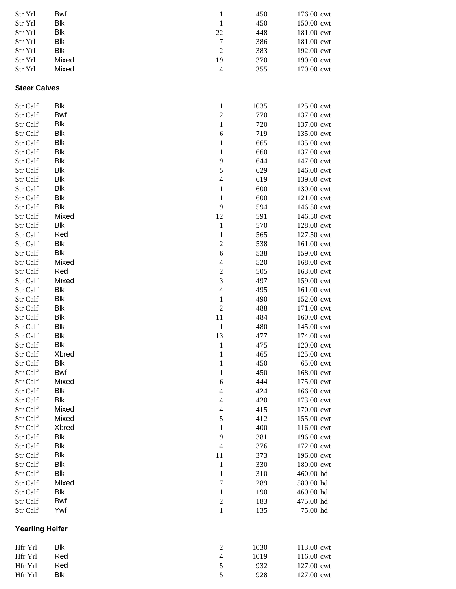| Str Yrl                | Bwf          | $\mathbf{1}$                | 450        | 176.00 cwt              |
|------------------------|--------------|-----------------------------|------------|-------------------------|
| Str Yrl                | Blk          | $\mathbf{1}$                | 450        | 150.00 cwt              |
| Str Yrl                | Blk          | 22                          | 448        | 181.00 cwt              |
| Str Yrl                | Blk          | $\tau$                      | 386        | 181.00 cwt              |
| Str Yrl                | Blk          | $\sqrt{2}$                  | 383        | 192.00 cwt              |
| Str Yrl                | Mixed        | 19                          | 370        | 190.00 cwt              |
| Str Yrl                | Mixed        | $\overline{4}$              | 355        | 170.00 cwt              |
| <b>Steer Calves</b>    |              |                             |            |                         |
| Str Calf               | Blk          | $\mathbf{1}$                | 1035       | 125.00 cwt              |
| Str Calf               | Bwf          | $\boldsymbol{2}$            | 770        | 137.00 cwt              |
| Str Calf               | Blk          | $\mathbf{1}$                | 720        | 137.00 cwt              |
| Str Calf               | Blk          | $\boldsymbol{6}$            | 719        | 135.00 cwt              |
| Str Calf               | Blk          | 1                           | 665        | 135.00 cwt              |
| Str Calf               | Blk          | 1                           | 660        | 137.00 cwt              |
| Str Calf               | Blk          | 9                           | 644        | 147.00 cwt              |
| Str Calf               | Blk          | 5                           | 629        | 146.00 cwt              |
| Str Calf               | Blk          | $\overline{4}$              | 619        | 139.00 cwt              |
| Str Calf               | Blk          | $\mathbf 1$                 | 600        | 130.00 cwt              |
| Str Calf               | Blk          | $\mathbf{1}$                | 600        | 121.00 cwt              |
| Str Calf               | Blk          | 9                           | 594        | 146.50 cwt              |
| Str Calf               | Mixed        | 12                          | 591        | 146.50 cwt              |
| Str Calf               | Blk          | $\,1\,$                     | 570        | 128.00 cwt              |
| Str Calf               | Red          | $\mathbf{1}$                | 565        | 127.50 cwt              |
| Str Calf               | <b>Blk</b>   | $\boldsymbol{2}$            | 538        | 161.00 cwt              |
| Str Calf               | <b>Blk</b>   | $\sqrt{6}$                  | 538        | 159.00 cwt              |
| Str Calf               | Mixed        | $\overline{4}$              | 520        | 168.00 cwt              |
| Str Calf               | Red          | $\boldsymbol{2}$            | 505        | 163.00 cwt              |
| Str Calf               | Mixed        | $\mathfrak{Z}$              | 497        | 159.00 cwt              |
| Str Calf               | Blk          | $\overline{4}$              | 495        | 161.00 cwt              |
| Str Calf               | Blk          | $\mathbf{1}$                | 490        | 152.00 cwt              |
| Str Calf               | Blk          | $\sqrt{2}$                  | 488        | 171.00 cwt              |
| Str Calf               | Blk          | 11                          | 484        | 160.00 cwt              |
| Str Calf               | Blk          | $\mathbf{1}$                | 480        | 145.00 cwt              |
| Str Calf               | <b>Blk</b>   | 13                          | 477        | 174.00 cwt              |
| Str Calf<br>Str Calf   | Blk          | $\mathbf{1}$                | 475        | 120.00 cwt              |
| Str Calf               | Xbred<br>Blk | $\mathbf{1}$<br>$\mathbf 1$ | 465<br>450 | 125.00 cwt<br>65.00 cwt |
| Str Calf               | <b>Bwf</b>   |                             | 450        | 168.00 cwt              |
| Str Calf               | Mixed        | 1<br>$\boldsymbol{6}$       | 444        | 175.00 cwt              |
| Str Calf               | Blk          | $\overline{4}$              | 424        | 166.00 cwt              |
| Str Calf               | <b>Blk</b>   | $\overline{4}$              | 420        | 173.00 cwt              |
| Str Calf               | Mixed        | $\overline{4}$              | 415        | 170.00 cwt              |
| Str Calf               | Mixed        | 5                           | 412        | 155.00 cwt              |
| Str Calf               | Xbred        | $\mathbf{1}$                | 400        | 116.00 cwt              |
| Str Calf               | Blk          | 9                           | 381        | 196.00 cwt              |
| Str Calf               | Blk          | $\overline{4}$              | 376        | 172.00 cwt              |
| Str Calf               | Blk          | 11                          | 373        | 196.00 cwt              |
| Str Calf               | Blk          | $\mathbf{1}$                | 330        | 180.00 cwt              |
| Str Calf               | Blk          | $\mathbf{1}$                | 310        | 460.00 hd               |
| Str Calf               | Mixed        | $\tau$                      | 289        | 580.00 hd               |
| Str Calf               | Blk          | $\mathbf{1}$                | 190        | 460.00 hd               |
| Str Calf               | Bwf          | $\boldsymbol{2}$            | 183        | 475.00 hd               |
| Str Calf               | Ywf          | $\mathbf{1}$                | 135        | 75.00 hd                |
| <b>Yearling Heifer</b> |              |                             |            |                         |
| Hfr Yrl                | Blk          | $\overline{c}$              | 1030       | 113.00 cwt              |
| Hfr Yrl                | Red          | $\overline{4}$              | 1019       | 116.00 cwt              |
| Hfr Yrl                | Red          | $\sqrt{5}$                  | 932        | 127.00 cwt              |
| Hfr Yrl                | Blk          | 5                           | 928        | 127.00 cwt              |
|                        |              |                             |            |                         |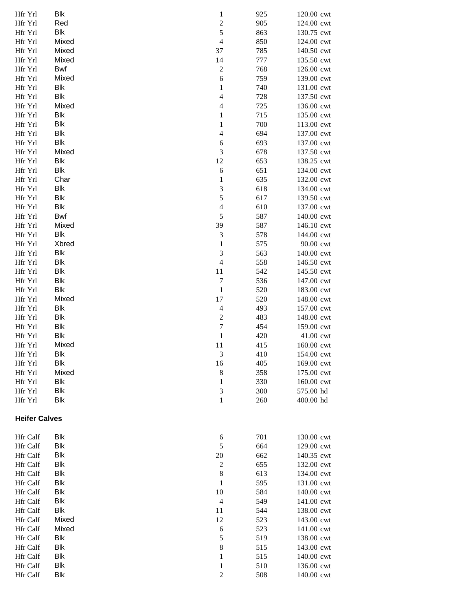| Hfr Yrl              | Blk        | $\mathbf{1}$     | 925 | 120.00 cwt |
|----------------------|------------|------------------|-----|------------|
| Hfr Yrl              | Red        | $\overline{c}$   | 905 | 124.00 cwt |
| Hfr Yrl              | <b>Blk</b> | 5                | 863 | 130.75 cwt |
| Hfr Yrl              | Mixed      | $\overline{4}$   | 850 | 124.00 cwt |
| Hfr Yrl              | Mixed      | 37               | 785 | 140.50 cwt |
| Hfr Yrl              | Mixed      | 14               | 777 | 135.50 cwt |
| Hfr Yrl              | Bwf        | $\boldsymbol{2}$ | 768 | 126.00 cwt |
| Hfr Yrl              | Mixed      | 6                | 759 | 139.00 cwt |
| Hfr Yrl              | Blk        | $\mathbf{1}$     | 740 | 131.00 cwt |
| Hfr Yrl              | Blk        | $\overline{4}$   | 728 | 137.50 cwt |
| Hfr Yrl              | Mixed      | $\overline{4}$   | 725 | 136.00 cwt |
| Hfr Yrl              | Blk        | $\mathbf{1}$     | 715 | 135.00 cwt |
| Hfr Yrl              | Blk        | 1                | 700 | 113.00 cwt |
| Hfr Yrl              | Blk        | $\overline{4}$   | 694 | 137.00 cwt |
| Hfr Yrl              | Blk        | 6                | 693 | 137.00 cwt |
| Hfr Yrl              | Mixed      | 3                | 678 | 137.50 cwt |
| Hfr Yrl              | <b>Blk</b> | 12               | 653 | 138.25 cwt |
| Hfr Yrl              | <b>Blk</b> | $\sqrt{6}$       | 651 | 134.00 cwt |
| Hfr Yrl              | Char       | $\mathbf{1}$     | 635 | 132.00 cwt |
| Hfr Yrl              | <b>Blk</b> | $\mathfrak 3$    | 618 | 134.00 cwt |
| Hfr Yrl              | <b>Blk</b> | 5                | 617 | 139.50 cwt |
| Hfr Yrl              | Blk        | $\overline{4}$   | 610 | 137.00 cwt |
| Hfr Yrl              | Bwf        | $\sqrt{5}$       | 587 | 140.00 cwt |
| Hfr Yrl              | Mixed      | 39               | 587 | 146.10 cwt |
| Hfr Yrl              | Blk        | $\mathfrak{Z}$   | 578 | 144.00 cwt |
| Hfr Yrl              | Xbred      | $\mathbf{1}$     | 575 | 90.00 cwt  |
| Hfr Yrl              | Blk        | $\mathfrak{Z}$   | 563 | 140.00 cwt |
| Hfr Yrl              | Blk        | $\overline{4}$   | 558 | 146.50 cwt |
| Hfr Yrl              | <b>Blk</b> | 11               | 542 | 145.50 cwt |
| Hfr Yrl              | Blk        | $\tau$           | 536 | 147.00 cwt |
| Hfr Yrl              | Blk        | $\,1\,$          | 520 | 183.00 cwt |
| Hfr Yrl              | Mixed      | 17               | 520 | 148.00 cwt |
| Hfr Yrl              | <b>Blk</b> | $\overline{4}$   | 493 | 157.00 cwt |
| Hfr Yrl              | <b>Blk</b> | $\boldsymbol{2}$ | 483 | 148.00 cwt |
| Hfr Yrl              | <b>Blk</b> | $\boldsymbol{7}$ | 454 | 159.00 cwt |
| Hfr Yrl              | <b>Blk</b> | $\mathbf{1}$     | 420 | 41.00 cwt  |
| Hfr Yrl              | Mixed      | 11               | 415 | 160.00 cwt |
| Hfr Yrl              | Blk        | 3                | 410 | 154.00 cwt |
| Hfr Yrl              | <b>Blk</b> | 16               | 405 | 169.00 cwt |
| Hfr Yrl              | Mixed      | $\,8\,$          | 358 | 175.00 cwt |
| Hfr Yrl              | <b>Blk</b> | $\mathbf{1}$     | 330 | 160.00 cwt |
| Hfr Yrl              | <b>Blk</b> | $\mathfrak{Z}$   | 300 | 575.00 hd  |
| Hfr Yrl              | <b>Blk</b> | $\mathbf{1}$     | 260 | 400.00 hd  |
| <b>Heifer Calves</b> |            |                  |     |            |
| Hfr Calf             | <b>Blk</b> | 6                | 701 | 130.00 cwt |
| <b>Hfr Calf</b>      | Blk        | 5                | 664 | 129.00 cwt |
| <b>Hfr Calf</b>      | <b>Blk</b> | 20               | 662 | 140.35 cwt |
| <b>Hfr</b> Calf      | <b>Blk</b> | $\boldsymbol{2}$ | 655 | 132.00 cwt |
| <b>Hfr</b> Calf      | <b>Blk</b> | $\,$ 8 $\,$      | 613 | 134.00 cwt |
| <b>Hfr</b> Calf      | <b>Blk</b> | $\mathbf{1}$     | 595 | 131.00 cwt |
| <b>Hfr</b> Calf      | <b>Blk</b> | 10               | 584 | 140.00 cwt |
| Hfr Calf             | <b>Blk</b> | $\overline{4}$   | 549 | 141.00 cwt |
| Hfr Calf             | <b>Blk</b> | 11               | 544 | 138.00 cwt |
| <b>Hfr Calf</b>      | Mixed      | 12               | 523 | 143.00 cwt |
| Hfr Calf             | Mixed      | $\boldsymbol{6}$ | 523 | 141.00 cwt |
| <b>Hfr Calf</b>      | <b>Blk</b> | 5                | 519 | 138.00 cwt |
| <b>Hfr</b> Calf      | Blk        | $\,8\,$          | 515 | 143.00 cwt |
| Hfr Calf             | Blk        | 1                | 515 | 140.00 cwt |
| <b>Hfr</b> Calf      | Blk        | $\mathbf{1}$     | 510 | 136.00 cwt |
| Hfr Calf             | <b>Blk</b> | $\boldsymbol{2}$ | 508 | 140.00 cwt |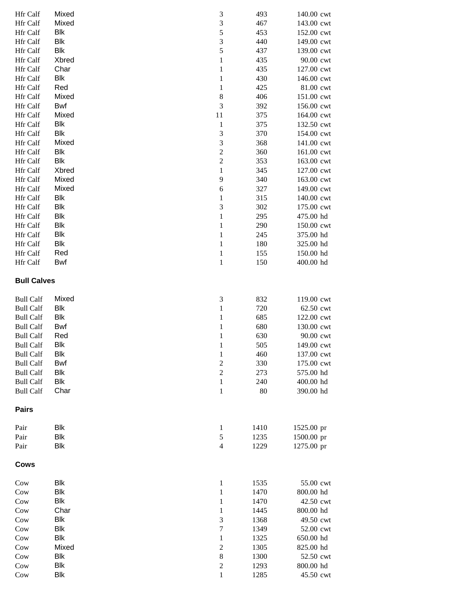| <b>Hfr Calf</b>    | Mixed      | 3                           | 493  | 140.00 cwt |
|--------------------|------------|-----------------------------|------|------------|
| Hfr Calf           | Mixed      | $\ensuremath{\mathfrak{Z}}$ | 467  | 143.00 cwt |
| <b>Hfr Calf</b>    | Blk        | 5                           | 453  | 152.00 cwt |
| <b>Hfr Calf</b>    | Blk        | $\mathfrak{Z}$              | 440  | 149.00 cwt |
| <b>Hfr Calf</b>    | Blk        | 5                           | 437  | 139.00 cwt |
| <b>Hfr Calf</b>    | Xbred      | $\mathbf{1}$                | 435  | 90.00 cwt  |
| <b>Hfr Calf</b>    | Char       | $\mathbf{1}$                | 435  | 127.00 cwt |
| <b>Hfr Calf</b>    | Blk        | $\mathbf 1$                 | 430  | 146.00 cwt |
| <b>Hfr Calf</b>    | Red        | $\mathbf{1}$                | 425  | 81.00 cwt  |
|                    | Mixed      |                             | 406  |            |
| <b>Hfr Calf</b>    |            | $\,8\,$<br>3                |      | 151.00 cwt |
| <b>Hfr Calf</b>    | <b>Bwf</b> |                             | 392  | 156.00 cwt |
| <b>Hfr Calf</b>    | Mixed      | 11                          | 375  | 164.00 cwt |
| <b>Hfr Calf</b>    | <b>Blk</b> | $\mathbf{1}$                | 375  | 132.50 cwt |
| <b>Hfr Calf</b>    | <b>Blk</b> | $\mathfrak{Z}$              | 370  | 154.00 cwt |
| <b>Hfr Calf</b>    | Mixed      | 3                           | 368  | 141.00 cwt |
| <b>Hfr Calf</b>    | <b>Blk</b> | $\sqrt{2}$                  | 360  | 161.00 cwt |
| Hfr Calf           | Blk        | $\overline{c}$              | 353  | 163.00 cwt |
| Hfr Calf           | Xbred      | 1                           | 345  | 127.00 cwt |
| Hfr Calf           | Mixed      | 9                           | 340  | 163.00 cwt |
| Hfr Calf           | Mixed      | 6                           | 327  | 149.00 cwt |
| <b>Hfr Calf</b>    | Blk        | $\mathbf{1}$                | 315  | 140.00 cwt |
| <b>Hfr Calf</b>    | <b>Blk</b> | $\mathfrak 3$               | 302  | 175.00 cwt |
| Hfr Calf           | <b>Blk</b> | $\mathbf{1}$                | 295  | 475.00 hd  |
| <b>Hfr Calf</b>    | <b>Blk</b> | $\mathbf 1$                 | 290  | 150.00 cwt |
| <b>Hfr Calf</b>    | <b>Blk</b> | $\mathbf{1}$                | 245  | 375.00 hd  |
| Hfr Calf           | Blk        | $\,1\,$                     | 180  | 325.00 hd  |
| Hfr Calf           | Red        | $\mathbf{1}$                | 155  | 150.00 hd  |
| Hfr Calf           | Bwf        | $\,1$                       | 150  | 400.00 hd  |
| <b>Bull Calves</b> |            |                             |      |            |
|                    |            |                             |      |            |
| <b>Bull Calf</b>   | Mixed      | $\mathfrak 3$               | 832  | 119.00 cwt |
| <b>Bull Calf</b>   | Blk        | $\,1$                       | 720  | 62.50 cwt  |
| <b>Bull Calf</b>   | Blk        | $\mathbf{1}$                | 685  | 122.00 cwt |
| <b>Bull Calf</b>   | Bwf        | $\mathbf{1}$                | 680  | 130.00 cwt |
| <b>Bull Calf</b>   | Red        | $\mathbf 1$                 | 630  | 90.00 cwt  |
| <b>Bull Calf</b>   | <b>Blk</b> | 1                           | 505  | 149.00 cwt |
| <b>Bull Calf</b>   | <b>Blk</b> | $\mathbf{1}$                | 460  | 137.00 cwt |
| <b>Bull Calf</b>   | Bwf        | $\sqrt{2}$                  | 330  | 175.00 cwt |
| <b>Bull Calf</b>   | Blk        | $\sqrt{2}$                  | 273  | 575.00 hd  |
| <b>Bull Calf</b>   | <b>Blk</b> | $\mathbf{1}$                | 240  | 400.00 hd  |
| <b>Bull Calf</b>   | Char       | 1                           | 80   | 390.00 hd  |
| <b>Pairs</b>       |            |                             |      |            |
| Pair               | <b>Blk</b> | 1                           | 1410 | 1525.00 pr |
| Pair               | <b>Blk</b> | $\sqrt{5}$                  | 1235 | 1500.00 pr |
| Pair               | <b>Blk</b> | $\overline{4}$              | 1229 | 1275.00 pr |
| <b>Cows</b>        |            |                             |      |            |
| Cow                | <b>Blk</b> | 1                           | 1535 | 55.00 cwt  |
| Cow                | <b>Blk</b> | 1                           | 1470 | 800.00 hd  |
| Cow                | Blk        | 1                           | 1470 | 42.50 cwt  |
| Cow                | Char       | 1                           | 1445 | 800.00 hd  |
| Cow                | Blk        | 3                           | 1368 | 49.50 cwt  |
| Cow                | Blk        | $\sqrt{ }$                  | 1349 | 52.00 cwt  |
| Cow                | Blk        | 1                           | 1325 | 650.00 hd  |
| Cow                | Mixed      | $\mathfrak{2}$              | 1305 | 825.00 hd  |
| Cow                | Blk        | $\,$ 8 $\,$                 | 1300 | 52.50 cwt  |
| Cow                | Blk        | $\mathfrak{2}$              | 1293 | 800.00 hd  |
| Cow                | <b>Blk</b> | $\mathbf{1}$                | 1285 | 45.50 cwt  |
|                    |            |                             |      |            |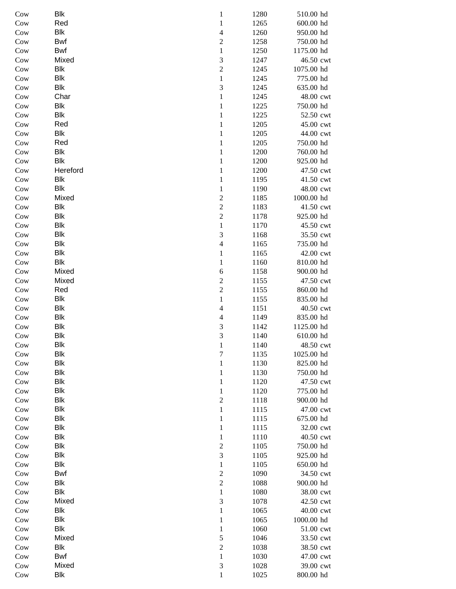| Cow | Blk        | $\mathbf 1$              | 1280 | 510.00 hd  |
|-----|------------|--------------------------|------|------------|
| Cow | Red        | $\mathbf{1}$             | 1265 | 600.00 hd  |
| Cow | <b>Blk</b> | $\overline{\mathcal{L}}$ | 1260 | 950.00 hd  |
| Cow | <b>Bwf</b> | $\overline{2}$           | 1258 | 750.00 hd  |
| Cow | Bwf        | $\mathbf{1}$             | 1250 | 1175.00 hd |
| Cow | Mixed      | 3                        | 1247 | 46.50 cwt  |
| Cow | <b>Blk</b> | $\overline{c}$           | 1245 | 1075.00 hd |
| Cow | <b>Blk</b> | $\mathbf{1}$             | 1245 | 775.00 hd  |
| Cow | Blk        | 3                        | 1245 | 635.00 hd  |
| Cow | Char       | $\mathbf{1}$             | 1245 | 48.00 cwt  |
| Cow | <b>Blk</b> | $\mathbf{1}$             | 1225 | 750.00 hd  |
| Cow | Blk        | $\mathbf{1}$             | 1225 | 52.50 cwt  |
| Cow | Red        | $\mathbf{1}$             | 1205 | 45.00 cwt  |
| Cow | Blk        | $\mathbf{1}$             | 1205 | 44.00 cwt  |
| Cow | Red        | $\mathbf 1$              | 1205 | 750.00 hd  |
| Cow | Blk        | $\mathbf 1$              | 1200 | 760.00 hd  |
| Cow | Blk        | $\mathbf 1$              | 1200 | 925.00 hd  |
| Cow | Hereford   | $\mathbf 1$              | 1200 | 47.50 cwt  |
| Cow | <b>Blk</b> | $\mathbf 1$              | 1195 | 41.50 cwt  |
| Cow | <b>Blk</b> | $\mathbf 1$              | 1190 | 48.00 cwt  |
| Cow | Mixed      | $\overline{c}$           | 1185 | 1000.00 hd |
| Cow | <b>Blk</b> | $\overline{c}$           | 1183 | 41.50 cwt  |
| Cow | <b>Blk</b> | $\overline{c}$           | 1178 | 925.00 hd  |
| Cow | <b>Blk</b> | $\,1$                    | 1170 | 45.50 cwt  |
| Cow | <b>Blk</b> | 3                        | 1168 | 35.50 cwt  |
| Cow | Blk        | $\overline{\mathcal{A}}$ | 1165 | 735.00 hd  |
| Cow | Blk        | 1                        | 1165 | 42.00 cwt  |
|     | <b>Blk</b> |                          |      |            |
| Cow |            | 1                        | 1160 | 810.00 hd  |
| Cow | Mixed      | 6                        | 1158 | 900.00 hd  |
| Cow | Mixed      | $\overline{c}$           | 1155 | 47.50 cwt  |
| Cow | Red        | $\overline{c}$           | 1155 | 860.00 hd  |
| Cow | Blk        | $\,1$                    | 1155 | 835.00 hd  |
| Cow | <b>Blk</b> | $\overline{\mathcal{L}}$ | 1151 | 40.50 cwt  |
| Cow | Blk        | $\overline{\mathcal{L}}$ | 1149 | 835.00 hd  |
| Cow | Blk        | 3                        | 1142 | 1125.00 hd |
| Cow | <b>Blk</b> | 3                        | 1140 | 610.00 hd  |
| Cow | <b>Blk</b> | $\mathbf{1}$             | 1140 | 48.50 cwt  |
| Cow | <b>Blk</b> | $\overline{7}$           | 1135 | 1025.00 hd |
| Cow | <b>Blk</b> | $\mathbf{1}$             | 1130 | 825.00 hd  |
| Cow | <b>Blk</b> | 1                        | 1130 | 750.00 hd  |
| Cow | <b>Blk</b> | 1                        | 1120 | 47.50 cwt  |
| Cow | Blk        | 1                        | 1120 | 775.00 hd  |
| Cow | Blk        | $\mathfrak{2}$           | 1118 | 900.00 hd  |
| Cow | <b>Blk</b> | 1                        | 1115 | 47.00 cwt  |
| Cow | Blk        | 1                        | 1115 | 675.00 hd  |
| Cow | Blk        | 1                        | 1115 | 32.00 cwt  |
| Cow | Blk        | 1                        | 1110 | 40.50 cwt  |
| Cow | <b>Blk</b> | $\overline{c}$           | 1105 | 750.00 hd  |
| Cow | Blk        | 3                        | 1105 | 925.00 hd  |
| Cow | Blk        | $\mathbf{1}$             | 1105 | 650.00 hd  |
| Cow | Bwf        | $\overline{c}$           | 1090 | 34.50 cwt  |
| Cow | Blk        | $\sqrt{2}$               | 1088 | 900.00 hd  |
| Cow | Blk        | $\mathbf{1}$             | 1080 | 38.00 cwt  |
| Cow | Mixed      | $\mathfrak{Z}$           | 1078 | 42.50 cwt  |
| Cow | Blk        | $\mathbf{1}$             | 1065 | 40.00 cwt  |
| Cow | <b>Blk</b> | 1                        | 1065 | 1000.00 hd |
| Cow | <b>Blk</b> | 1                        | 1060 | 51.00 cwt  |
| Cow | Mixed      | 5                        | 1046 | 33.50 cwt  |
| Cow | Blk        | $\mathbf{2}$             | 1038 | 38.50 cwt  |
| Cow | Bwf        | 1                        | 1030 | 47.00 cwt  |
| Cow | Mixed      | $\mathfrak 3$            | 1028 | 39.00 cwt  |
| Cow | Blk        | $\mathbf{1}$             | 1025 | 800.00 hd  |
|     |            |                          |      |            |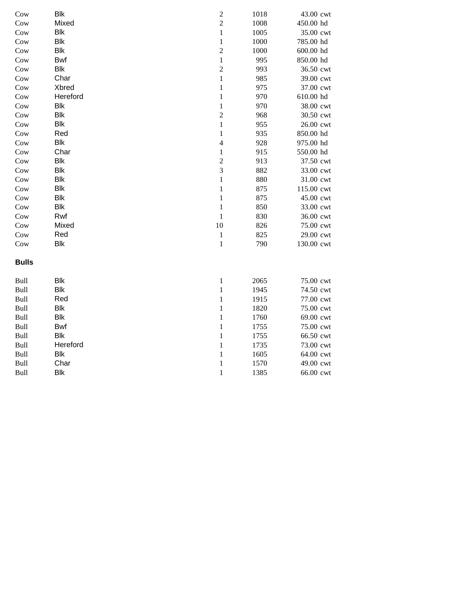| Cow          | Blk        | $\overline{c}$ | 1018 | 43.00 cwt  |
|--------------|------------|----------------|------|------------|
| Cow          | Mixed      | $\overline{c}$ | 1008 | 450.00 hd  |
| Cow          | Blk        | $\mathbf{1}$   | 1005 | 35.00 cwt  |
| Cow          | Blk        | $\mathbf{1}$   | 1000 | 785.00 hd  |
| Cow          | Blk        | $\overline{c}$ | 1000 | 600.00 hd  |
| Cow          | <b>Bwf</b> | $\,1$          | 995  | 850.00 hd  |
| Cow          | Blk        | $\overline{c}$ | 993  | 36.50 cwt  |
| Cow          | Char       | $\,1$          | 985  | 39.00 cwt  |
| Cow          | Xbred      | $\mathbf{1}$   | 975  | 37.00 cwt  |
| Cow          | Hereford   | $\,1$          | 970  | 610.00 hd  |
| Cow          | Blk        | $\,1$          | 970  | 38.00 cwt  |
| Cow          | Blk        | $\overline{2}$ | 968  | 30.50 cwt  |
| Cow          | Blk        | $\mathbf{1}$   | 955  | 26.00 cwt  |
| Cow          | Red        | $\mathbf{1}$   | 935  | 850.00 hd  |
| Cow          | Blk        | $\overline{4}$ | 928  | 975.00 hd  |
| Cow          | Char       | $\mathbf{1}$   | 915  | 550.00 hd  |
| Cow          | <b>Blk</b> | $\sqrt{2}$     | 913  | 37.50 cwt  |
| Cow          | Blk        | $\overline{3}$ | 882  | 33.00 cwt  |
| Cow          | Blk        | $\mathbf{1}$   | 880  | 31.00 cwt  |
| Cow          | Blk        | $\mathbf{1}$   | 875  | 115.00 cwt |
| Cow          | Blk        | $\mathbf{1}$   | 875  | 45.00 cwt  |
| Cow          | Blk        | $\mathbf{1}$   | 850  | 33.00 cwt  |
| Cow          | Rwf        | $\mathbf{1}$   | 830  | 36.00 cwt  |
| Cow          | Mixed      | 10             | 826  | 75.00 cwt  |
| Cow          | Red        | $\,1$          | 825  | 29.00 cwt  |
| Cow          | Blk        | $\,1$          | 790  | 130.00 cwt |
| <b>Bulls</b> |            |                |      |            |
| Bull         | Blk        | $\mathbf{1}$   | 2065 | 75.00 cwt  |
| Bull         | Blk        | $\mathbf{1}$   | 1945 | 74.50 cwt  |
| Bull         | Red        | $\mathbf{1}$   | 1915 | 77.00 cwt  |
| Bull         | Blk        | $\mathbf{1}$   | 1820 | 75.00 cwt  |
| Bull         | Blk        | $\mathbf{1}$   | 1760 | 69.00 cwt  |
| Bull         | <b>Bwf</b> | $\mathbf{1}$   | 1755 | 75.00 cwt  |
| Bull         | <b>Blk</b> | $\mathbf{1}$   | 1755 | 66.50 cwt  |
| Bull         | Hereford   | $\mathbf{1}$   | 1735 | 73.00 cwt  |
| Bull         | Blk        | $\mathbf{1}$   | 1605 | 64.00 cwt  |
| Bull         | Char       | $\,1$          | 1570 | 49.00 cwt  |
| Bull         | <b>Blk</b> | $\mathbf{1}$   | 1385 | 66.00 cwt  |